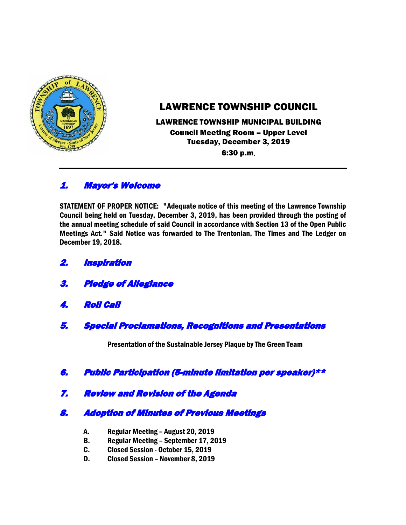

# LAWRENCE TOWNSHIP COUNCIL

### LAWRENCE TOWNSHIP MUNICIPAL BUILDING Council Meeting Room – Upper Level Tuesday, December 3, 2019 6:30 p.m.

# 1. Mayor's Welcome

STATEMENT OF PROPER NOTICE: "Adequate notice of this meeting of the Lawrence Township Council being held on Tuesday, December 3, 2019, has been provided through the posting of the annual meeting schedule of said Council in accordance with Section 13 of the Open Public Meetings Act." Said Notice was forwarded to The Trentonian, The Times and The Ledger on December 19, 2018.

- 2. Inspiration
- 3. Pledge of Allegiance
- 4. Roll Call
- 5. Special Proclamations, Recognitions and Presentations

Presentation of the Sustainable Jersey Plaque by The Green Team

- 6. Public Participation (5-minute limitation per speaker)\*\*
- 7. Review and Revision of the Agenda

# 8. Adoption of Minutes of Previous Meetings

- A. Regular Meeting August 20, 2019
- B. Regular Meeting September 17, 2019
- C. Closed Session October 15, 2019
- D. Closed Session November 8, 2019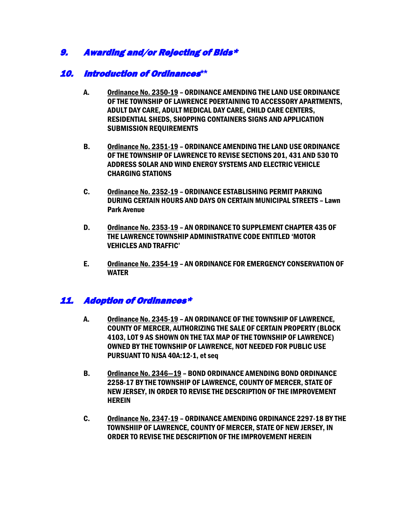# 9. Awarding and/or Rejecting of Bids\*

### 10. Introduction of Ordinances**\*\***

- A. Ordinance No. 2350-19 ORDINANCE AMENDING THE LAND USE ORDINANCE OF THE TOWNSHIP OF LAWRENCE P0ERTAINING TO ACCESSORY APARTMENTS, ADULT DAY CARE, ADULT MEDICAL DAY CARE, CHILD CARE CENTERS, RESIDENTIAL SHEDS, SHOPPING CONTAINERS SIGNS AND APPLICATION SUBMISSION REQUIREMENTS
- B. Ordinance No. 2351-19 ORDINANCE AMENDING THE LAND USE ORDINANCE OF THE TOWNSHIP OF LAWRENCE TO REVISE SECTIONS 201, 431 AND 530 TO ADDRESS SOLAR AND WIND ENERGY SYSTEMS AND ELECTRIC VEHICLE CHARGING STATIONS
- C. Ordinance No. 2352-19 ORDINANCE ESTABLISHING PERMIT PARKING DURING CERTAIN HOURS AND DAYS ON CERTAIN MUNICIPAL STREETS – Lawn Park Avenue
- D. Ordinance No. 2353-19 AN ORDINANCE TO SUPPLEMENT CHAPTER 435 OF THE LAWRENCE TOWNSHIP ADMINISTRATIVE CODE ENTITLED 'MOTOR VEHICLES AND TRAFFIC'
- E. Ordinance No. 2354-19 AN ORDINANCE FOR EMERGENCY CONSERVATION OF WATER

# 11. Adoption of Ordinances\*

- A. Ordinance No. 2345-19 AN ORDINANCE OF THE TOWNSHIP OF LAWRENCE, COUNTY OF MERCER, AUTHORIZING THE SALE OF CERTAIN PROPERTY (BLOCK 4103, LOT 9 AS SHOWN ON THE TAX MAP OF THE TOWNSHIP OF LAWRENCE) OWNED BY THE TOWNSHIP OF LAWRENCE, NOT NEEDED FOR PUBLIC USE PURSUANT TO NJSA 40A:12-1, et seq
- B. Ordinance No. 2346—19 BOND ORDINANCE AMENDING BOND ORDINANCE 2258-17 BY THE TOWNSHIP OF LAWRENCE, COUNTY OF MERCER, STATE OF NEW JERSEY, IN ORDER TO REVISE THE DESCRIPTION OF THE IMPROVEMENT **HEREIN**
- C. Ordinance No. 2347-19 ORDINANCE AMENDING ORDINANCE 2297-18 BY THE TOWNSHIIP OF LAWRENCE, COUNTY OF MERCER, STATE OF NEW JERSEY, IN ORDER TO REVISE THE DESCRIPTION OF THE IMPROVEMENT HEREIN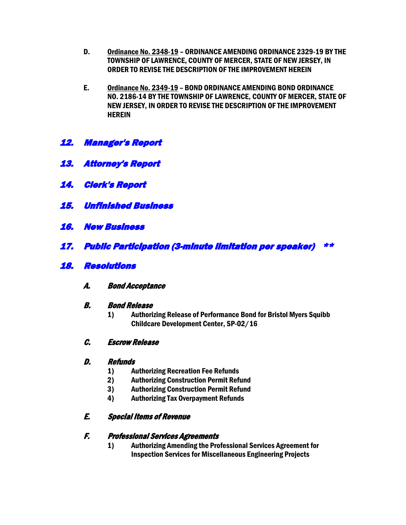- D. Ordinance No. 2348-19 ORDINANCE AMENDING ORDINANCE 2329-19 BY THE TOWNSHIP OF LAWRENCE, COUNTY OF MERCER, STATE OF NEW JERSEY, IN ORDER TO REVISE THE DESCRIPTION OF THE IMPROVEMENT HEREIN
- E. Ordinance No. 2349-19 BOND ORDINANCE AMENDING BOND ORDINANCE NO. 2186-14 BY THE TOWNSHIP OF LAWRENCE, COUNTY OF MERCER, STATE OF NEW JERSEY, IN ORDER TO REVISE THE DESCRIPTION OF THE IMPROVEMENT **HEREIN**
- 12. Manager's Report
- 13. Attorney's Report
- 14. Clerk's Report
- 15. Unfinished Business
- 16. New Business
- 17. Public Participation (3-minute limitation per speaker) \*\*
- 18. Resolutions
	- A. Bond Acceptance
	- B. Bond Release
		- 1) Authorizing Release of Performance Bond for Bristol Myers Squibb Childcare Development Center, SP-02/16
	- C. Escrow Release

#### D. Refunds

- 1) Authorizing Recreation Fee Refunds
- 2) Authorizing Construction Permit Refund
- 3) Authorizing Construction Permit Refund
- 4) Authorizing Tax Overpayment Refunds

#### E. Special Items of Revenue

#### F. Professional Services Agreements

1) Authorizing Amending the Professional Services Agreement for Inspection Services for Miscellaneous Engineering Projects